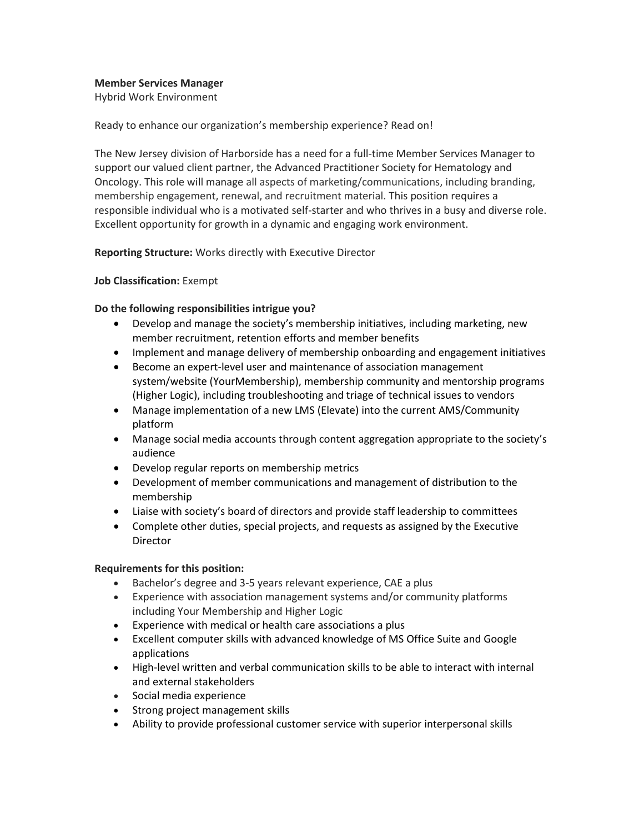### **Member Services Manager**

Hybrid Work Environment

Ready to enhance our organization's membership experience? Read on!

The New Jersey division of Harborside has a need for a full-time Member Services Manager to support our valued client partner, the Advanced Practitioner Society for Hematology and Oncology. This role will manage all aspects of marketing/communications, including branding, membership engagement, renewal, and recruitment material. This position requires a responsible individual who is a motivated self-starter and who thrives in a busy and diverse role. Excellent opportunity for growth in a dynamic and engaging work environment.

# **Reporting Structure:** Works directly with Executive Director

# **Job Classification:** Exempt

# **Do the following responsibilities intrigue you?**

- Develop and manage the society's membership initiatives, including marketing, new member recruitment, retention efforts and member benefits
- Implement and manage delivery of membership onboarding and engagement initiatives
- Become an expert-level user and maintenance of association management system/website (YourMembership), membership community and mentorship programs (Higher Logic), including troubleshooting and triage of technical issues to vendors
- Manage implementation of a new LMS (Elevate) into the current AMS/Community platform
- Manage social media accounts through content aggregation appropriate to the society's audience
- Develop regular reports on membership metrics
- Development of member communications and management of distribution to the membership
- Liaise with society's board of directors and provide staff leadership to committees
- Complete other duties, special projects, and requests as assigned by the Executive **Director**

# **Requirements for this position:**

- Bachelor's degree and 3-5 years relevant experience, CAE a plus
- Experience with association management systems and/or community platforms including Your Membership and Higher Logic
- Experience with medical or health care associations a plus
- Excellent computer skills with advanced knowledge of MS Office Suite and Google applications
- High-level written and verbal communication skills to be able to interact with internal and external stakeholders
- Social media experience
- Strong project management skills
- Ability to provide professional customer service with superior interpersonal skills